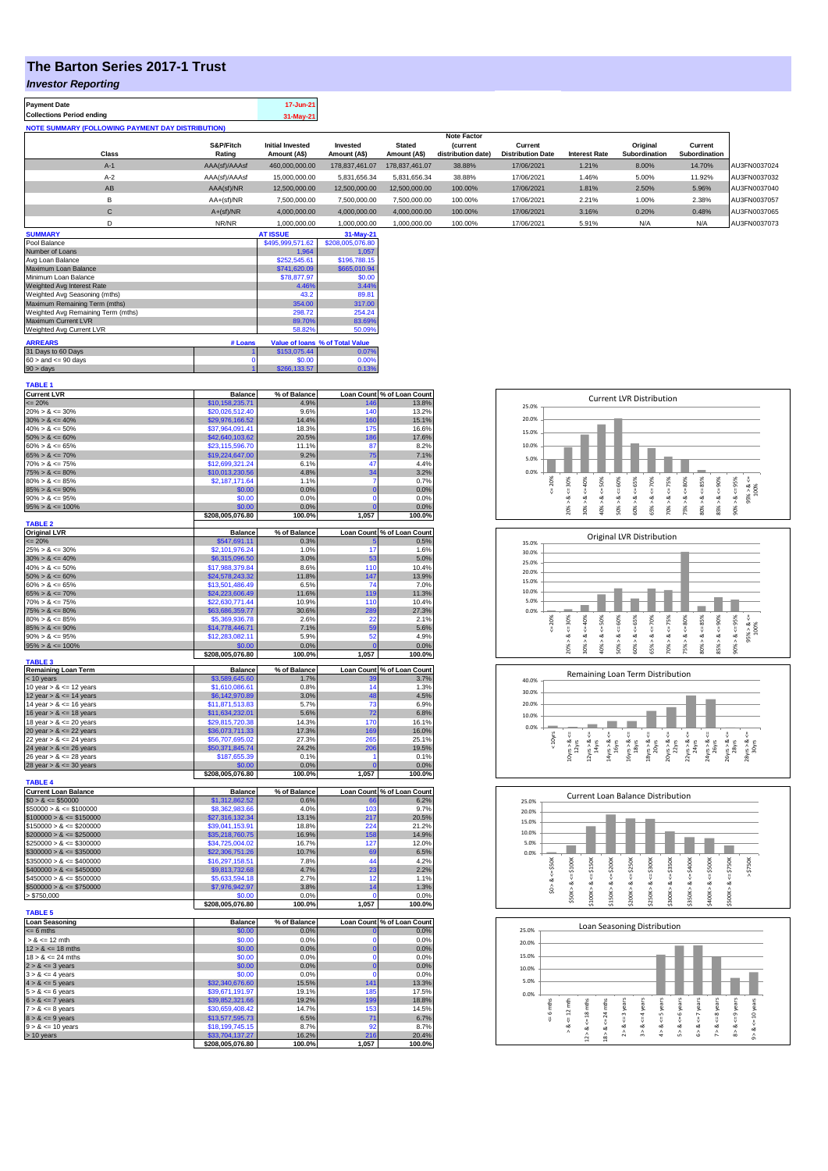## **The Barton Series 2017-1 Trust**

## *Investor Reporting*

| <b>Payment Date</b>                                      | 17-Jun-21 |
|----------------------------------------------------------|-----------|
| <b>Collections Period ending</b>                         | 31-May-21 |
| <b>NOTE SUMMARY (FOLLOWING PAYMENT DAY DISTRIBUTION)</b> |           |
|                                                          |           |

|              |               |                         |                |                | <b>Note Factor</b> |                          |               |               |               |              |
|--------------|---------------|-------------------------|----------------|----------------|--------------------|--------------------------|---------------|---------------|---------------|--------------|
|              | S&P/Fitch     | <b>Initial Invested</b> | Invested       | <b>Stated</b>  | <i>(current</i>    | Current                  |               | Original      | Current       |              |
| Class        | Rating        | Amount (A\$)            | Amount (A\$)   | Amount (A\$)   | distribution date) | <b>Distribution Date</b> | Interest Rate | Subordination | Subordination |              |
| $A-1$        | AAA(sf)/AAAsf | 460,000,000.00          | 178.837.461.07 | 178.837.461.07 | 38.88%             | 17/06/2021               | 1.21%         | 8.00%         | 14.70%        | AU3FN0037024 |
| $A-2$        | AAA(sf)/AAAsf | 15,000,000,00           | 5.831.656.34   | 5.831.656.34   | 38.88%             | 17/06/2021               | 1.46%         | 5.00%         | 11.92%        | AU3FN0037032 |
| AB           | AAA(sf)/NR    | 12,500,000.00           | 12,500,000.00  | 12,500,000.00  | 100.00%            | 17/06/2021               | 1.81%         | 2.50%         | 5.96%         | AU3FN0037040 |
| в            | $AA+(sf)/NR$  | 7,500,000.00            | 7,500,000.00   | 7,500,000.00   | 100.00%            | 17/06/2021               | 2.21%         | 1.00%         | 2.38%         | AU3FN0037057 |
| $\mathsf{C}$ | $A+(sf)/NR$   | 4,000,000.00            | 4.000.000.00   | 4.000.000.00   | 100.00%            | 17/06/2021               | 3.16%         | 0.20%         | 0.48%         | AU3FN0037065 |
|              | NR/NR         | 1.000.000.00            | 1.000.000.00   | 1.000.000.00   | 100.00%            | 17/06/2021               | 5.91%         | N/A           | N/A           | AU3FN0037073 |
| A            |               | 17.000117               | -----          |                |                    |                          |               |               |               |              |

| <b>SUMMARY</b>                     |         | <b>AT ISSUE</b>  | 31-May-21                       |
|------------------------------------|---------|------------------|---------------------------------|
| Pool Balance                       |         | \$495,999,571.62 | \$208,005,076.80                |
| Number of Loans                    |         | 1.964            | 1.057                           |
| Avg Loan Balance                   |         | \$252,545.61     | \$196,788.15                    |
| Maximum Loan Balance               |         | \$741,620.09     | \$665,010.94                    |
| Minimum Loan Balance               |         | \$78,877.97      | \$0.00                          |
| Weighted Avg Interest Rate         |         | 4.46%            | 3.44%                           |
| Weighted Avg Seasoning (mths)      |         | 43.2             | 89.81                           |
| Maximum Remaining Term (mths)      |         | 354.00           | 317.00                          |
| Weighted Avg Remaining Term (mths) |         | 298.72           | 254.24                          |
| Maximum Current LVR                |         | 89.70%           | 83.69%                          |
| Weighted Avg Current LVR           |         | 58.82%           | 50.09%                          |
| <b>ARREARS</b>                     | # Loans |                  | Value of Ioans % of Total Value |
| 31 Days to 60 Days                 |         | \$153,075,44     | 0.07%                           |
| $60 >$ and $\leq 90$ days          |         | \$0.00           | 0.00%                           |
| $90 >$ days                        |         | \$266,133,57     | 0.13%                           |

| <b>TABLE 1</b>                                           |                                     |                      |                         |                                     |
|----------------------------------------------------------|-------------------------------------|----------------------|-------------------------|-------------------------------------|
| <b>Current LVR</b><br>$= 20%$                            | <b>Balance</b><br>\$10,158,235.71   | % of Balance<br>4.9% | 146                     | Loan Count % of Loan Count<br>13.8% |
| $20\% > 8 \le 30\%$                                      | \$20,026,512.40                     | 9.6%                 | 140                     | 13.2%                               |
| $30\% > 8 \le 40\%$                                      | \$29,976,166.52                     | 14.4%                | 160                     | 15.1%                               |
| $40\% > 8 \le 50\%$                                      | \$37,964,091.41                     | 18.3%                | 175                     | 16.6%                               |
| $50\% > 8 \le 60\%$                                      | \$42,640,103.62                     | 20.5%                | 186                     | 17.6%                               |
| $60\% > 8 \le 65\%$                                      | \$23,115,596.70                     | 11.1%                | 87                      | 8.2%                                |
| $65\% > 8 \le 70\%$                                      | \$19,224,647.00                     | 9.2%                 | 75                      | 7.1%                                |
| $70\% > 8 \le 75\%$<br>$75\% > 8 \le 80\%$               | \$12,699,321.24<br>\$10,013,230.56  | 6.1%<br>4.8%         | 47<br>34                | 4.4%<br>3.2%                        |
| $80\% > 8 \le 85\%$                                      | \$2,187,171.64                      | 1.1%                 | 7                       | 0.7%                                |
| $85\% > 8 \le 90\%$                                      | \$0.00                              | 0.0%                 | $\overline{0}$          | 0.0%                                |
| $90\% > 8 \le 95\%$                                      | \$0.00                              | 0.0%                 | $\Omega$                | 0.0%                                |
| $95\% > 8 \le 100\%$                                     | \$0.00                              | 0.0%                 | $\overline{0}$          | 0.0%                                |
|                                                          | \$208,005,076.80                    | 100.0%               | 1,057                   | 100.0%                              |
| <b>TABLE 2</b><br><b>Original LVR</b>                    | Balance                             | % of Balance         |                         | Loan Count % of Loan Count          |
| $= 20%$                                                  | \$547,691.11                        | 0.3%                 | Б                       | 0.5%                                |
| $25\% > 8 \le 30\%$                                      | \$2,101,976.24                      | 1.0%                 | 17                      | 1.6%                                |
| $30\% > 8 \le 40\%$                                      | \$6,315,096.50                      | 3.0%                 | 53                      | 5.0%                                |
| $40\% > 8 \le 50\%$                                      | \$17,988,379.84                     | 8.6%                 | 110                     | 10.4%                               |
| $50\% > 8 \le 60\%$                                      | \$24,578,243.32                     | 11.8%                | 147                     | 13.9%                               |
| $60\% > 8 \le 65\%$                                      | \$13,501,486.49                     | 6.5%                 | 74                      | 7.0%                                |
| $65\% > 8 \le 70\%$<br>$70\% > 8 \le 75\%$               | \$24,223,606.49<br>\$22,630,771.44  | 11.6%<br>10.9%       | 119<br>110              | 11.3%<br>10.4%                      |
| $75\% > 8 \le 80\%$                                      | \$63,686,359.77                     | 30.6%                | 289                     | 27.3%                               |
| $80\% > 8 \le 85\%$                                      | \$5,369,936.78                      | 2.6%                 | 22                      | 2.1%                                |
| $85\% > 8 \le 90\%$                                      | \$14,778,446.71                     | 7.1%                 | 59                      | 5.6%                                |
| $90\% > 8 \le 95\%$                                      | \$12,283,082.11                     | 5.9%                 | 52                      | 4.9%                                |
| $95\% > 8 \le 100\%$                                     | \$0.00                              | 0.0%                 | r                       | 0.0%                                |
| <b>TABLE 3</b>                                           | \$208,005,076.80                    | 100.0%               | 1,057                   | 100.0%                              |
| Remaining Loan Term                                      | <b>Balance</b>                      | % of Balance         | <b>Loan Count</b>       | % of Loan Count                     |
| < 10 years                                               | \$3,589,645.60                      | 1.7%                 | зс                      | 3.7%                                |
| 10 year $> 8 \le 12$ years                               | \$1,610,086.61                      | 0.8%                 | 14                      | 1.3%                                |
| 12 year $> 8 \le 14$ years                               | \$6,142,970.89                      | 3.0%                 | 48                      | 4.5%                                |
| 14 year $> 8 \le 16$ years<br>16 year $> 8 \le 18$ years | \$11,871,513.83<br>\$11,634,232.01  | 5.7%<br>5.6%         | 73<br>72                | 6.9%<br>6.8%                        |
| 18 year $> 8 \le 20$ years                               | \$29,815,720.38                     | 14.3%                | 170                     | 16.1%                               |
| 20 year $> 8 \le 22$ years                               | \$36,073,711.33                     | 17.3%                | 169                     | 16.0%                               |
| 22 year > & <= 24 years                                  | \$56,707,695.02                     | 27.3%                | 265                     | 25.1%                               |
| 24 year $> 8 \le 26$ years                               | \$50,371,845.74                     | 24.2%                | 206                     | 19.5%                               |
| 26 year $> 8 \le 28$ years                               | \$187,655.39                        | 0.1%                 | 1                       | 0.1%                                |
| 28 year $> 8 \le 30$ years                               | \$0.00<br>\$208,005,076.80          | 0.0%<br>100.0%       | $\overline{0}$<br>1,057 | 0.0%<br>100.0%                      |
| <b>TABLE 4</b>                                           |                                     |                      |                         |                                     |
| <b>Current Loan Balance</b>                              | <b>Balance</b>                      | % of Balance         | <b>Loan Count</b>       | % of Loan Count                     |
| $$0 > 8 \le $50000$                                      | \$1,312,862.52                      | 0.6%                 | 66                      | 6.2%                                |
| $$50000 > 8 \le $100000$                                 | \$8,362,983.66                      | 4.0%                 | 103                     | 9.7%                                |
| $$100000 > 8 \le $150000$                                | \$27,316,132.34                     | 13.1%                | 217<br>224              | 20.5%                               |
| $$150000 > 8 \le $200000$<br>$$200000 > 8 \le $250000$   | \$39,041,153.91<br>\$35,218,760.75  | 18.8%<br>16.9%       | 158                     | 21.2%<br>14.9%                      |
| $$250000 > 8 \le $300000$                                | \$34,725,004.02                     | 16.7%                | 127                     | 12.0%                               |
| $$300000 > 8 \le $350000$                                | \$22,306,751.26                     | 10.7%                | 69                      | 6.5%                                |
| $$350000 > 8 \le $400000$                                | \$16,297,158.51                     | 7.8%                 | 44                      | 4.2%                                |
| $$400000 > 8 \leq $450000$                               | \$9,813,732.68                      | 4.7%                 | 23                      | 2.2%                                |
| $$450000 > 8 \le $500000$                                | \$5,633,594.18                      | 2.7%                 | 12                      | 1.1%                                |
| $$500000 > 8 \le $750000$                                | \$7,976,942.97                      | 3.8%                 | 14                      | 1.3%                                |
| > \$750,000                                              | \$0.00<br>\$208,005,076.80          | 0.0%<br>100.0%       | $\Omega$<br>1,057       | 0.0%<br>100.0%                      |
| <b>TABLE 5</b>                                           |                                     |                      |                         |                                     |
| <b>Loan Seasoning</b>                                    | <b>Balance</b>                      | % of Balance         |                         | Loan Count % of Loan Count          |
| $= 6$ mths                                               | \$0.00                              | 0.0%                 | O                       | 0.0%                                |
| $> 8$ <= 12 mth                                          | \$0.00                              | 0.0%                 | $\Omega$                | 0.0%                                |
| $12 > 8 \le 18$ mths<br>$18 > 8 \le 24$ mths             | \$0.00<br>\$0.00                    | 0.0%<br>0.0%         | $\mathbf 0$<br>$\Omega$ | 0.0%<br>0.0%                        |
| $2 > 8 \le 3$ years                                      | \$0.00                              | 0.0%                 | $\mathbf 0$             | 0.0%                                |
| $3 > 8 \le 4$ years                                      | \$0.00                              | 0.0%                 | $\mathbf 0$             | 0.0%                                |
| $4 > 8 \le 5$ years                                      | \$32,340,676.60                     | 15.5%                | 141                     | 13.3%                               |
| $5 > 8 \le 6$ years                                      | \$39,671,191.97                     | 19.1%                | 185                     | 17.5%                               |
| $6 > 8 \le 7$ years                                      | \$39,852,321.66                     | 19.2%                | 199                     | 18.8%                               |
| $7 > 8 \le 8$ years                                      |                                     |                      | 153                     | 14.5%                               |
|                                                          | \$30,659,408.42                     | 14.7%                |                         |                                     |
| $8 > 8 \le 9$ years                                      | \$13,577,595.73                     | 6.5%                 | 71                      | 6.7%                                |
| $9 > 8 \le 10$ years                                     | \$18,199,745.15                     | 8.7%                 | 92                      | 8.7%                                |
| > 10 years                                               | \$33,704,137.27<br>\$208,005,076.80 | 16.2%<br>100.0%      | 216<br>1,057            | 20.4%<br>100.0%                     |



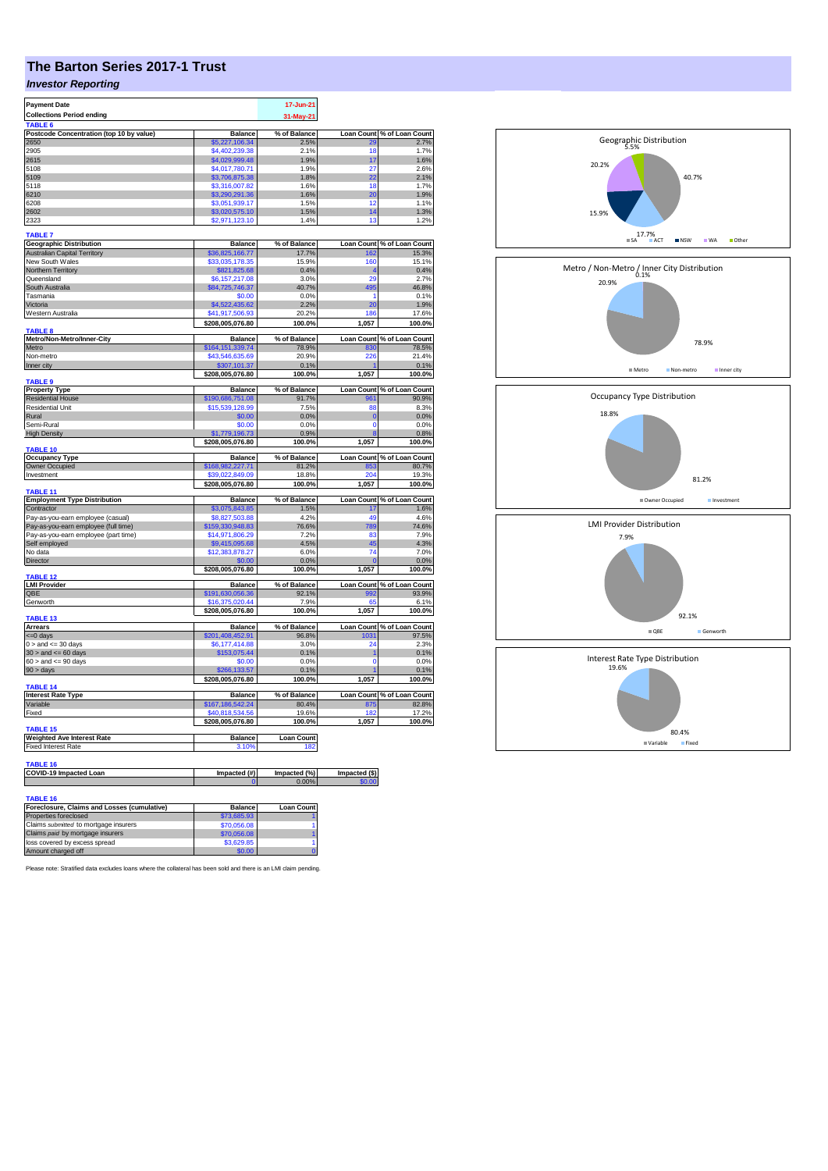## **The Barton Series 2017-1 Trust**

## *Investor Reporting*

| <b>Payment Date</b>                                                       |                                     | 17-Jun-21         |                         |                                     |
|---------------------------------------------------------------------------|-------------------------------------|-------------------|-------------------------|-------------------------------------|
| <b>Collections Period ending</b>                                          |                                     | 31-May-21         |                         |                                     |
| <b>TABLE 6</b>                                                            |                                     |                   |                         |                                     |
| Postcode Concentration (top 10 by value)                                  | Balance                             | % of Balance      | Loan Count              | % of Loan Count                     |
| 2650                                                                      | \$5,227,106.34                      | 2.5%              | 29                      | 2.7%                                |
| 2905                                                                      | \$4,402,239.38                      | 21%               | 18                      | 1.7%                                |
| 2615                                                                      | \$4,029,999.48                      | 1.9%              | 17                      | 1.6%                                |
| 5108                                                                      | \$4,017,780.71                      | 1.9%              | 27                      | 2.6%                                |
| 5109                                                                      | \$3,706,875.38                      | 1.8%              | 22                      | 2.1%                                |
| 5118                                                                      | \$3,316,007.82                      | 1.6%              | 18                      | 1.7%                                |
| 6210<br>6208                                                              | \$3,290,291.36<br>\$3,051,939.17    | 1.6%<br>1.5%      | 20<br>12                | 1.9%<br>1.1%                        |
| 2602                                                                      | \$3,020,575.10                      | 1.5%              | 14                      | 1.3%                                |
| 2323                                                                      | \$2,971,123.10                      | 1.4%              | 13                      | 1.2%                                |
|                                                                           |                                     |                   |                         |                                     |
| <b>TABLE 7</b>                                                            |                                     |                   |                         |                                     |
| <b>Geographic Distribution</b>                                            | <b>Balance</b>                      | % of Balance      | <b>Loan Count</b>       | % of Loan Count                     |
| <b>Australian Capital Territory</b>                                       | \$36,825,166.77                     | 17.7%             | 162                     | 15.3%                               |
| New South Wales                                                           | \$33,035,178.35                     | 15.9%             | 160                     | 15.1%                               |
| Northern Territory                                                        | \$821,825.68                        | 0.4%              | $\overline{a}$          | 0.4%                                |
| Queensland                                                                | \$6,157,217.08                      | 3.0%              | $\overline{2}$          | 2.7%                                |
| South Australia                                                           | \$84,725,746.37                     | 40.7%             | 495                     | 46.8%                               |
| Tasmania                                                                  | \$0.00                              | 0.0%              | 1                       | 0.1%                                |
| Victoria                                                                  | \$4,522,435.62                      | 2.2%              | 20                      | 1.9%                                |
| Western Australia                                                         | \$41,917,506.93                     | 20.2%             | 186                     | 17.6%                               |
|                                                                           | \$208,005,076.80                    | 100.0%            | 1,057                   | 100.0%                              |
| <b>TABLE 8</b><br>Metro/Non-Metro/Inner-City                              | <b>Balance</b>                      | % of Balance      |                         | Loan Count % of Loan Count          |
| Metro                                                                     |                                     |                   |                         | 78.5%                               |
| Non-metro                                                                 | \$164,151,339.74<br>\$43,546,635.69 | 78.9%<br>20.9%    | 830<br>226              | 21.4%                               |
| Inner city                                                                | \$307,101.37                        | 0.1%              |                         | 0.1%                                |
|                                                                           | \$208,005,076.80                    | 100.0%            | 1,057                   | 100.0%                              |
| <b>TABLE 9</b>                                                            |                                     |                   |                         |                                     |
| <b>Property Type</b>                                                      | <b>Balance</b>                      | % of Balance      |                         | Loan Count % of Loan Count          |
| <b>Residential House</b>                                                  | \$190,686,751.08                    | 91.7%             | 961                     | 90.9%                               |
| <b>Residential Unit</b>                                                   | \$15,539,128.99                     | 7.5%              | 88                      | 8.3%                                |
| Rural                                                                     | \$0.00                              | 0.0%              | $\overline{0}$          | 0.0%                                |
| Semi-Rural                                                                | \$0.00                              | 0.0%              | $\Omega$                | 0.0%                                |
| <b>High Density</b>                                                       | \$1,779,196,73                      | 0.9%              | я                       | 0.8%                                |
|                                                                           | \$208,005,076.80                    | 100.0%            | 1,057                   | 100.0%                              |
| <b>TABLE 10</b>                                                           |                                     |                   |                         |                                     |
| <b>Occupancy Type</b>                                                     | <b>Balance</b>                      | % of Balance      |                         | Loan Count % of Loan Count<br>80.7% |
| Owner Occupied<br>Investment                                              | \$168,982,227.71<br>\$39,022,849.09 | 81.2%             | 853<br>204              |                                     |
|                                                                           |                                     | 18.8%             |                         | 19.3%                               |
|                                                                           |                                     |                   |                         |                                     |
|                                                                           | \$208,005,076.80                    | 100.0%            | 1,057                   |                                     |
| <b>TABLE 11</b>                                                           | <b>Balance</b>                      |                   |                         | 100.0%                              |
| <b>Employment Type Distribution</b>                                       |                                     | % of Balance      | <b>Loan Count</b><br>17 | % of Loan Count                     |
| Contractor                                                                | \$3,075,843.85<br>\$8,827,503,88    | 1.5%<br>4.2%      | 49                      |                                     |
| Pay-as-you-earn employee (casual)<br>Pav-as-you-earn employee (full time) | \$159,330,948.83                    | 76.6%             | 789                     | 1.6%<br>4.6%<br>74.6%               |
| Pay-as-you-earn employee (part time)                                      | \$14,971,806.29                     | 7.2%              | 83                      |                                     |
|                                                                           | \$9,415,095.68                      | 4.5%              | 45                      |                                     |
| Self employed<br>No data                                                  | \$12,383,878.27                     | 6.0%              | 74                      |                                     |
|                                                                           |                                     |                   | r                       | 7.9%<br>4.3%<br>7.0%                |
| Director                                                                  | \$208,005,076.80                    | 0.0%<br>100.0%    | 1,057                   | 0.0%<br>100.0%                      |
| TABLE 12                                                                  |                                     |                   |                         |                                     |
| <b>LMI Provider</b>                                                       | <b>Balance</b>                      | % of Balance      |                         | Loan Count % of Loan Count          |
| QBE                                                                       | \$191,630,056.36                    | 92.1%             | 992                     |                                     |
| Genworth                                                                  | \$16,375,020.44                     | 7.9%              | 65                      | 93.9%<br>6.1%                       |
|                                                                           | \$208,005,076.80                    | 100.0%            | 1,057                   | 100.0%                              |
| <b>TABLE 13</b>                                                           |                                     |                   |                         |                                     |
| <b>Arrears</b>                                                            | <b>Balance</b>                      | % of Balance      | <b>Loan Count</b>       | % of Loan Count                     |
| $= 0$ days                                                                | \$201,408,452.91                    | 96.8%             | 1031                    | 97.5%                               |
| $0 >$ and $\leq$ 30 days                                                  | \$6,177,414.88                      | 3.0%              | 24                      | 2.3%                                |
| $30$ > and <= 60 days                                                     | \$153,075.44<br>\$0.00              | 0.1%              | 1<br>$\Omega$           | 0.1%                                |
| $60 >$ and $\leq 90$ days                                                 | \$266,133,57                        | 0.0%<br>0.1%      |                         | 0.0%                                |
| $90 > \text{days}$                                                        |                                     |                   |                         | 0.1%                                |
| TABLE 14                                                                  | \$208,005,076.80                    | 100.0%            | 1,057                   | 100.0%                              |
| <b>Interest Rate Type</b>                                                 | <b>Balance</b>                      | % of Balance      |                         | Loan Count % of Loan Count          |
| Variable                                                                  | \$167,186,542.24                    | 80.4%             | 875                     | 82.8%                               |
| Fixed                                                                     | \$40.818.534.56                     | 19.6%             | 18 <sub>i</sub>         | 17.2%                               |
|                                                                           | \$208,005,076.80                    | 100.0%            | 1,057                   |                                     |
| TABLE 15                                                                  |                                     |                   |                         | 100.0%                              |
| <b>Weighted Ave Interest Rate</b>                                         | <b>Balance</b>                      | <b>Loan Count</b> |                         |                                     |
| <b>Fixed Interest Rate</b>                                                | 3.10%                               | 182               |                         |                                     |
|                                                                           |                                     |                   |                         |                                     |
| TABLE 16                                                                  |                                     |                   |                         |                                     |
| COVID-19 Impacted Loan                                                    | Impacted (#)                        | Impacted (%)      | Impacted (\$)           |                                     |
|                                                                           |                                     | 0.00%             |                         |                                     |
| <b>TABLE 16</b>                                                           |                                     |                   |                         |                                     |

| Foreclosure, Claims and Losses (cumulative) | <b>Balance</b> | <b>Loan Count</b> |
|---------------------------------------------|----------------|-------------------|
| Properties foreclosed                       | \$73,685.93    |                   |
| Claims submitted to mortgage insurers       | \$70,056.08    |                   |
| Claims paid by mortgage insurers            | \$70,056,08    |                   |
| loss covered by excess spread               | \$3,629.85     |                   |
| Amount charged off                          | \$0.00         |                   |

Please note: Stratified data excludes loans where the collateral has been sold and there is an LMI claim pending.